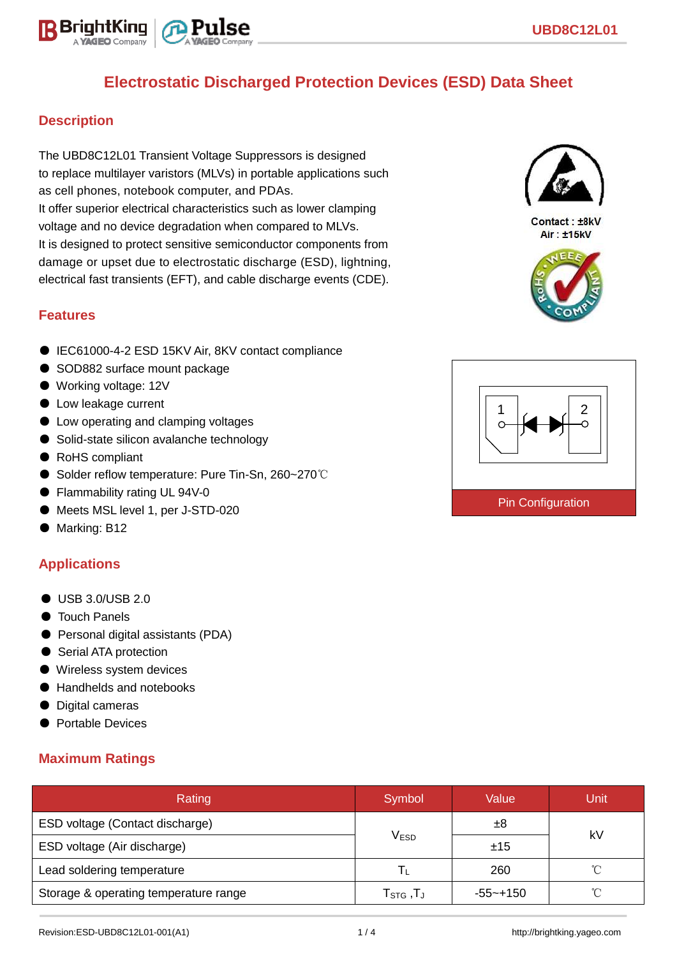

## **Description**

The UBD8C12L01 Transient Voltage Suppressors is designed to replace multilayer varistors (MLVs) in portable applications such as cell phones, notebook computer, and PDAs. It offer superior electrical characteristics such as lower clamping voltage and no device degradation when compared to MLVs. It is designed to protect sensitive semiconductor components from damage or upset due to electrostatic discharge (ESD), lightning, electrical fast transients (EFT), and cable discharge events (CDE).

### **Features**

- IEC61000-4-2 ESD 15KV Air, 8KV contact compliance
- SOD882 surface mount package
- Working voltage: 12V
- Low leakage current
- Low operating and clamping voltages
- Solid-state silicon avalanche technology
- RoHS compliant
- Solder reflow temperature: Pure Tin-Sn, 260~270℃
- Flammability rating UL 94V-0
- Meets MSL level 1, per J-STD-020
- Marking: B12

### **Applications**

- USB 3.0/USB 2.0
- Touch Panels
- Personal digital assistants (PDA)
- Serial ATA protection
- Wireless system devices
- Handhelds and notebooks
- Digital cameras
- Portable Devices

### **Maximum Ratings**

| Rating                                | Symbol                           | Value    | Unit |  |
|---------------------------------------|----------------------------------|----------|------|--|
| ESD voltage (Contact discharge)       |                                  | ±8       | kV   |  |
| ESD voltage (Air discharge)           | V <sub>ESD</sub>                 | ±15      |      |  |
| Lead soldering temperature            | Ιı.                              | 260      | ∽    |  |
| Storage & operating temperature range | $T_{\scriptstyle\text{STG}}$ ,TJ | -55~+150 | ∽    |  |



Contact: +8kV  $Air \t + 15kV$ 



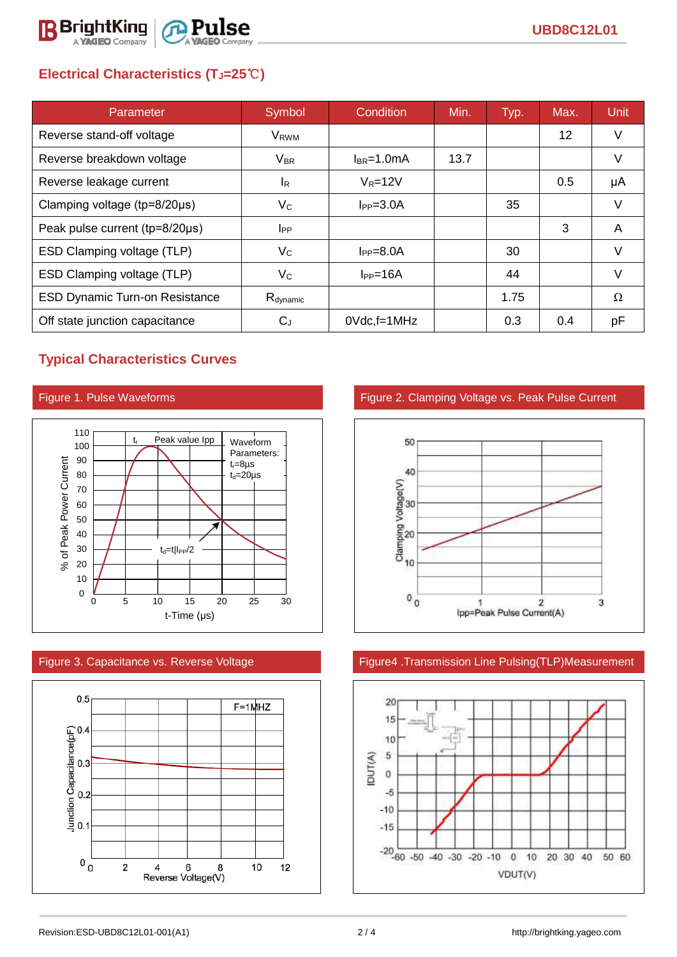

# **Electrical Characteristics (TJ=25**℃**)**

| Parameter                             | Symbol                  | Condition       | Min. | Typ. | Max.            | <b>Unit</b> |
|---------------------------------------|-------------------------|-----------------|------|------|-----------------|-------------|
| Reverse stand-off voltage             | <b>V</b> <sub>RWM</sub> |                 |      |      | 12 <sup>°</sup> | V           |
| Reverse breakdown voltage             | $V_{BR}$                | $I_{BR}$ =1.0mA | 13.7 |      |                 | V           |
| Reverse leakage current               | <sup>I</sup> R          | $V_R = 12V$     |      |      | 0.5             | μA          |
| Clamping voltage ( $tp=8/20\mu s$ )   | $V_{\rm C}$             | $IPP=3.0A$      |      | 35   |                 | $\vee$      |
| Peak pulse current (tp=8/20µs)        | <b>I</b> <sub>PP</sub>  |                 |      |      | 3               | A           |
| ESD Clamping voltage (TLP)            | $V_C$                   | $I_{PP} = 8.0A$ |      | 30   |                 | V           |
| ESD Clamping voltage (TLP)            | Vc                      | $I_{PP}=16A$    |      | 44   |                 | V           |
| <b>ESD Dynamic Turn-on Resistance</b> | R <sub>dynamic</sub>    |                 |      | 1.75 |                 | Ω           |
| Off state junction capacitance        | $\rm C_J$               | $0$ Vdc, f=1MHz |      | 0.3  | 0.4             | рF          |

## **Typical Characteristics Curves**





## Figure 1. Pulse Waveforms Figure 2. Clamping Voltage vs. Peak Pulse Current



### Figure 3. Capacitance vs. Reverse Voltage Figure4 .Transmission Line Pulsing(TLP)Measurement

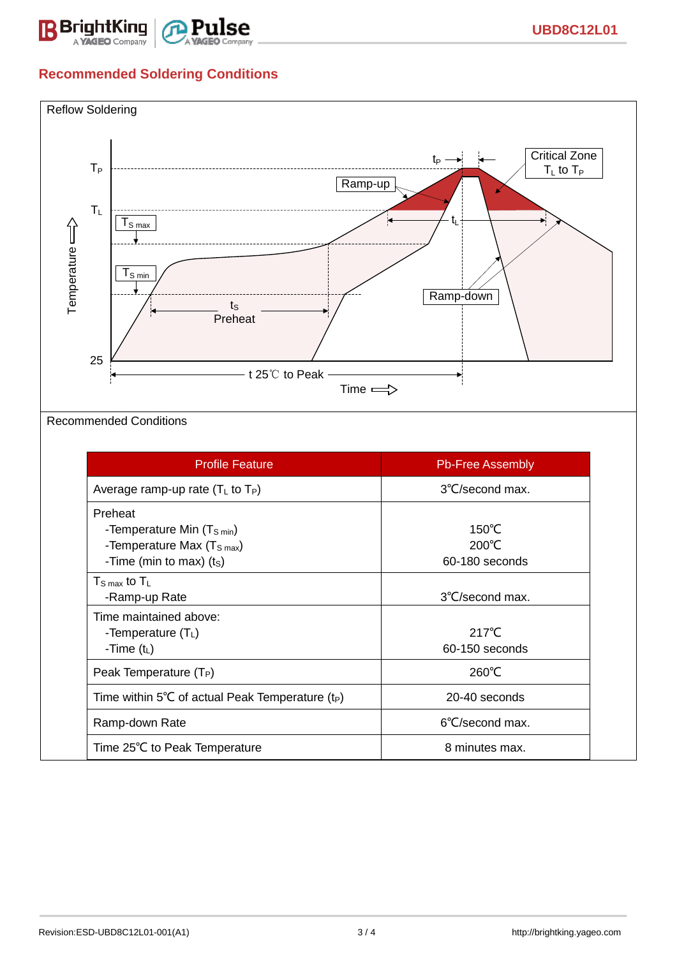

# **Recommended Soldering Conditions**